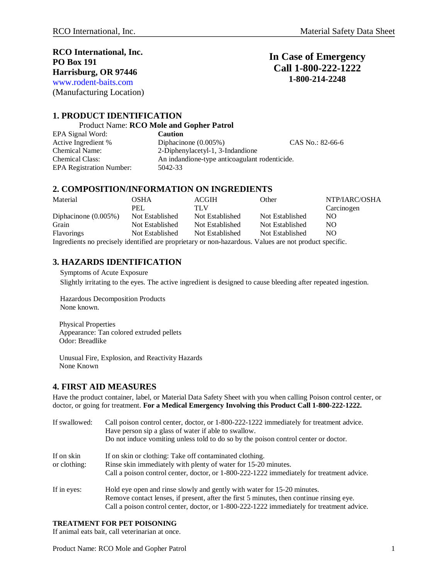**RCO International, Inc. PO Box 191 Harrisburg, OR 97446** www.rodent-baits.com

(Manufacturing Location)

# **In Case of Emergency Call 1-800-222-1222 1-800-214-2248**

## **1. PRODUCT IDENTIFICATION**

Product Name: **RCO Mole and Gopher Patrol** 

EPA Signal Word: **Caution** Active Ingredient % Diphacinone (0.005%) CAS No.: 82-66-6<br>Chemical Name: 2-Diphenvlacetyl-1, 3-Indandione 2-Diphenylacetyl-1, 3-Indandione Chemical Class: An indandione-type anticoagulant rodenticide. EPA Registration Number: 5042-33

## **2. COMPOSITION/INFORMATION ON INGREDIENTS**

| Material                                                                                               | <b>OSHA</b>     | <b>ACGIH</b>    | Other           | NTP/IARC/OSHA  |
|--------------------------------------------------------------------------------------------------------|-----------------|-----------------|-----------------|----------------|
|                                                                                                        | PEI.            | TLV             |                 | Carcinogen     |
| Diphacinone $(0.005\%)$                                                                                | Not Established | Not Established | Not Established | NO.            |
| Grain                                                                                                  | Not Established | Not Established | Not Established | N <sub>O</sub> |
| <b>Flavorings</b>                                                                                      | Not Established | Not Established | Not Established | NO.            |
| Ingredients no precisely identified are proprietary or non-hazardous. Values are not product specific. |                 |                 |                 |                |

## **3. HAZARDS IDENTIFICATION**

 Symptoms of Acute Exposure Slightly irritating to the eyes. The active ingredient is designed to cause bleeding after repeated ingestion.

 Hazardous Decomposition Products None known.

Physical Properties Appearance: Tan colored extruded pellets Odor: Breadlike

Unusual Fire, Explosion, and Reactivity Hazards None Known

## **4. FIRST AID MEASURES**

Have the product container, label, or Material Data Safety Sheet with you when calling Poison control center, or doctor, or going for treatment. **For a Medical Emergency Involving this Product Call 1-800-222-1222.**

| If swallowed:              | Call poison control center, doctor, or 1-800-222-1222 immediately for treatment advice.<br>Have person sip a glass of water if able to swallow.<br>Do not induce vomiting unless told to do so by the poison control center or doctor.                           |
|----------------------------|------------------------------------------------------------------------------------------------------------------------------------------------------------------------------------------------------------------------------------------------------------------|
| If on skin<br>or clothing: | If on skin or clothing: Take off contaminated clothing.<br>Rinse skin immediately with plenty of water for 15-20 minutes.<br>Call a poison control center, doctor, or 1-800-222-1222 immediately for treatment advice.                                           |
| If in eyes:                | Hold eye open and rinse slowly and gently with water for 15-20 minutes.<br>Remove contact lenses, if present, after the first 5 minutes, then continue rinsing eye.<br>Call a poison control center, doctor, or 1-800-222-1222 immediately for treatment advice. |

#### **TREATMENT FOR PET POISONING**

If animal eats bait, call veterinarian at once.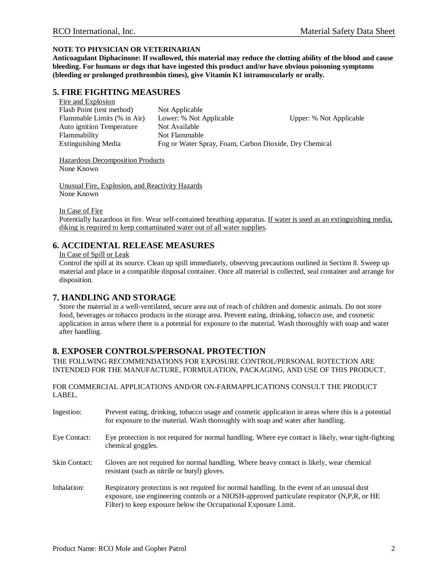#### **NOTE TO PHYSICIAN OR VETERINARIAN**

**Anticoagulant Diphacinone: If swallowed, this material may reduce the clotting ability of the blood and cause bleeding. For humans or dogs that have ingested this product and/or have obvious poisoning symptoms (bleeding or prolonged prothrombin times), give Vitamin K1 intramuscularly or orally.**

## **5. FIRE FIGHTING MEASURES**

| Fire and Explosion          |                                                        |                         |
|-----------------------------|--------------------------------------------------------|-------------------------|
| Flash Point (test method)   | Not Applicable                                         |                         |
| Flammable Limits (% in Air) | Lower: % Not Applicable                                | Upper: % Not Applicable |
| Auto ignition Temperature   | Not Available                                          |                         |
| Flammability                | Not Flammable                                          |                         |
| Extinguishing Media         | Fog or Water Spray, Foam, Carbon Dioxide, Dry Chemical |                         |
|                             |                                                        |                         |

Hazardous Decomposition Products None Known

Unusual Fire, Explosion, and Reactivity Hazards None Known

In Case of Fire

Potentially hazardous in fire. Wear self-contained breathing apparatus. If water is used as an extinguishing media, diking is required to keep contaminated water out of all water supplies.

#### **6. ACCIDENTAL RELEASE MEASURES**

In Case of Spill or Leak

Control the spill at its source. Clean up spill immediately, observing precautions outlined in Section 8. Sweep up material and place in a compatible disposal container. Once all material is collected, seal container and arrange for disposition.

## **7. HANDLING AND STORAGE**

Store the material in a well-ventilated, secure area out of reach of children and domestic animals. Do not store food, beverages or tobacco products in the storage area. Prevent eating, drinking, tobacco use, and cosmetic application in areas where there is a potential for exposure to the material. Wash thoroughly with soap and water after handling.

## **8. EXPOSER CONTROLS/PERSONAL PROTECTION**

THE FOLLWING RECOMMENDATIONS FOR EXPOSURE CONTROL/PERSONAL ROTECTION ARE INTENDED FOR THE MANUFACTURE, FORMULATION, PACKAGING, AND USE OF THIS PRODUCT.

FOR COMMERCIAL APPLICATIONS AND/OR ON-FARMAPPLICATIONS CONSULT THE PRODUCT LABEL.

| Ingestion:           | Prevent eating, drinking, tobacco usage and cosmetic application in areas where this is a potential<br>for exposure to the material. Wash thoroughly with soap and water after handling.                                                                      |
|----------------------|---------------------------------------------------------------------------------------------------------------------------------------------------------------------------------------------------------------------------------------------------------------|
| Eye Contact:         | Eye protection is not required for normal handling. Where eye contact is likely, wear tight-fighting<br>chemical goggles.                                                                                                                                     |
| <b>Skin Contact:</b> | Gloves are not required for normal handling. Where heavy contact is likely, wear chemical<br>resistant (such as nitrile or butyl) gloves.                                                                                                                     |
| Inhalation:          | Respiratory protection is not required for normal handling. In the event of an unusual dust<br>exposure, use engineering controls or a NIOSH-approved particulate respirator (N,P,R, or HE<br>Filter) to keep exposure below the Occupational Exposure Limit. |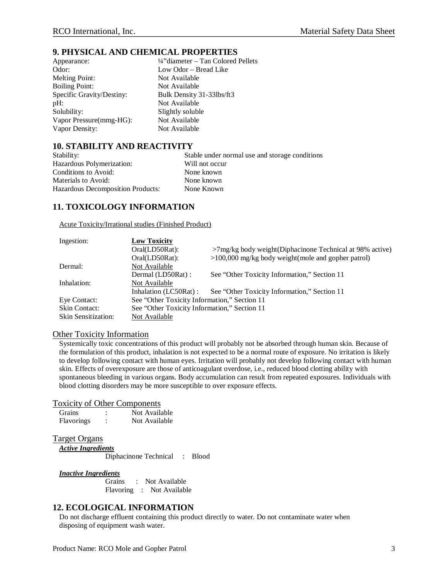#### **9. PHYSICAL AND CHEMICAL PROPERTIES**

| Appearance:               |
|---------------------------|
| Odor:                     |
| <b>Melting Point:</b>     |
| <b>Boiling Point:</b>     |
| Specific Gravity/Destiny: |
| pH:                       |
| Solubility:               |
| Vapor Pressure(mmg-HG):   |
| Vapor Density:            |

<sup>1</sup>/4"diameter – Tan Colored Pellets Low Odor – Bread Like Not Available Not Available Bulk Density 31-33lbs/ft3 Not Available Slightly soluble Not Available Not Available

## **10. STABILITY AND REACTIVITY**

| Stability:                               | Stable under normal use and storage conditions |  |  |
|------------------------------------------|------------------------------------------------|--|--|
| Hazardous Polymerization:                | Will not occur                                 |  |  |
| Conditions to Avoid:                     | None known                                     |  |  |
| Materials to Avoid:                      | None known                                     |  |  |
| <b>Hazardous Decomposition Products:</b> | None Known                                     |  |  |

## **11. TOXICOLOGY INFORMATION**

Acute Toxicity/Irrational studies (Finished Product)

| Ingestion:                 | <b>Low Toxicity</b>                          |                                                             |  |
|----------------------------|----------------------------------------------|-------------------------------------------------------------|--|
|                            | Oral(LD50Rat):                               | $>7$ mg/kg body weight(Diphacinone Technical at 98% active) |  |
|                            | Oral(LD50Rat):                               | $>100,000$ mg/kg body weight (mole and gopher patrol)       |  |
| Dermal:                    | Not Available                                |                                                             |  |
|                            | Dermal (LD50Rat) :                           | See "Other Toxicity Information," Section 11                |  |
| Inhalation:                | Not Available                                |                                                             |  |
|                            | Inhalation (LC50Rat) :                       | See "Other Toxicity Information," Section 11                |  |
| Eye Contact:               | See "Other Toxicity Information," Section 11 |                                                             |  |
| <b>Skin Contact:</b>       | See "Other Toxicity Information," Section 11 |                                                             |  |
| <b>Skin Sensitization:</b> | Not Available                                |                                                             |  |

#### Other Toxicity Information

Systemically toxic concentrations of this product will probably not be absorbed through human skin. Because of the formulation of this product, inhalation is not expected to be a normal route of exposure. No irritation is likely to develop following contact with human eyes. Irritation will probably not develop following contact with human skin. Effects of overexposure are those of anticoagulant overdose, i.e., reduced blood clotting ability with spontaneous bleeding in various organs. Body accumulation can result from repeated exposures. Individuals with blood clotting disorders may be more susceptible to over exposure effects.

#### Toxicity of Other Components

| <b>Grains</b>     | Not Available |
|-------------------|---------------|
| <b>Flavorings</b> | Not Available |

#### Target Organs

*Active Ingredients* Diphacinone Technical : Blood

#### *Inactive Ingredients*

Grains : Not Available Flavoring : Not Available

## **12. ECOLOGICAL INFORMATION**

Do not discharge effluent containing this product directly to water. Do not contaminate water when disposing of equipment wash water.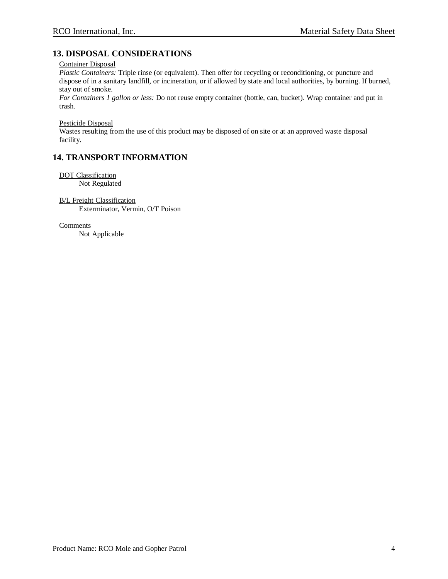## **13. DISPOSAL CONSIDERATIONS**

Container Disposal

*Plastic Containers:* Triple rinse (or equivalent). Then offer for recycling or reconditioning, or puncture and dispose of in a sanitary landfill, or incineration, or if allowed by state and local authorities, by burning. If burned, stay out of smoke.

*For Containers 1 gallon or less:* Do not reuse empty container (bottle, can, bucket). Wrap container and put in trash.

Pesticide Disposal

Wastes resulting from the use of this product may be disposed of on site or at an approved waste disposal facility.

## **14. TRANSPORT INFORMATION**

DOT Classification Not Regulated

B/L Freight Classification Exterminator, Vermin, O/T Poison

**Comments** 

Not Applicable